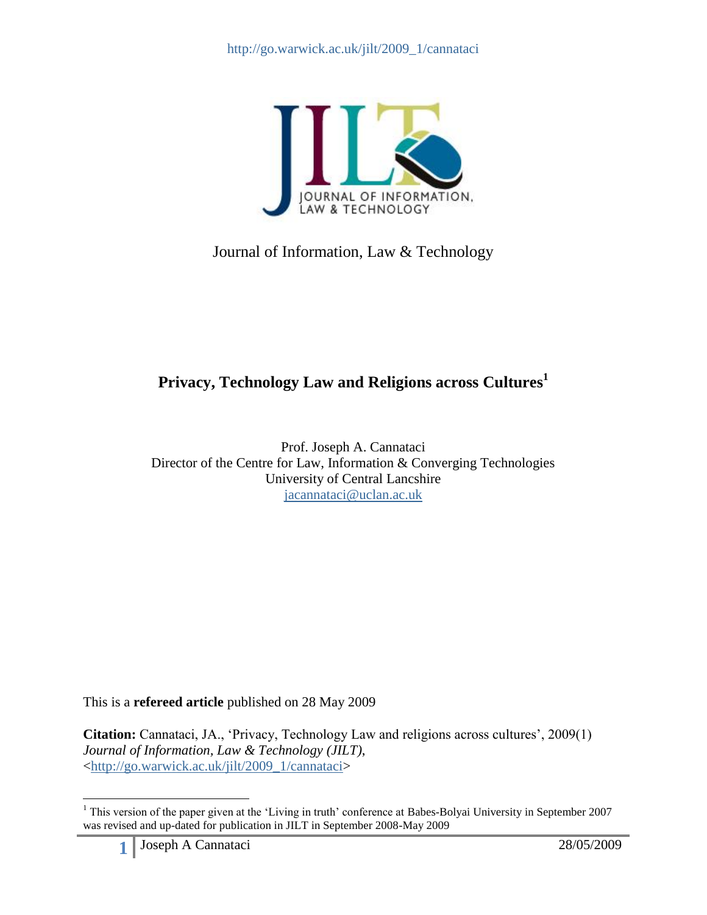

Journal of Information, Law & Technology

# **Privacy, Technology Law and Religions across Cultures<sup>1</sup>**

Prof. Joseph A. Cannataci Director of the Centre for Law, Information & Converging Technologies University of Central Lancshire [jacannataci@uclan.ac.uk](mailto:jacannataci@uclan.ac.uk)

This is a **refereed article** published on 28 May 2009

**Citation:** Cannataci, JA., ‗Privacy, Technology Law and religions across cultures', 2009(1) *Journal of Information, Law & Technology (JILT)*, [<http://go.warwick.ac.uk/jilt/2009\\_1/cannataci>](http://go.warwick.ac.uk/jilt/2009_1/cannataci)

 $\overline{a}$  $1$  This version of the paper given at the 'Living in truth' conference at Babes-Bolyai University in September 2007 was revised and up-dated for publication in JILT in September 2008-May 2009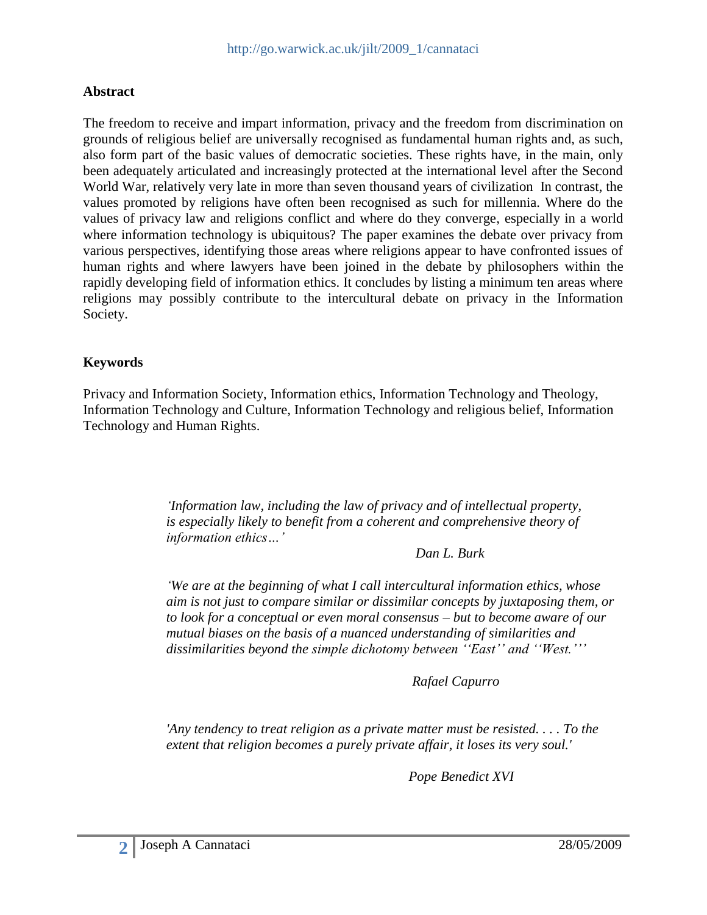#### **Abstract**

The freedom to receive and impart information, privacy and the freedom from discrimination on grounds of religious belief are universally recognised as fundamental human rights and, as such, also form part of the basic values of democratic societies. These rights have, in the main, only been adequately articulated and increasingly protected at the international level after the Second World War, relatively very late in more than seven thousand years of civilization In contrast, the values promoted by religions have often been recognised as such for millennia. Where do the values of privacy law and religions conflict and where do they converge, especially in a world where information technology is ubiquitous? The paper examines the debate over privacy from various perspectives, identifying those areas where religions appear to have confronted issues of human rights and where lawyers have been joined in the debate by philosophers within the rapidly developing field of information ethics. It concludes by listing a minimum ten areas where religions may possibly contribute to the intercultural debate on privacy in the Information Society.

#### **Keywords**

Privacy and Information Society, Information ethics, Information Technology and Theology, Information Technology and Culture, Information Technology and religious belief, Information Technology and Human Rights.

> *"Information law, including the law of privacy and of intellectual property, is especially likely to benefit from a coherent and comprehensive theory of information ethics…"*

> > *Dan L. Burk*

*"We are at the beginning of what I call intercultural information ethics, whose aim is not just to compare similar or dissimilar concepts by juxtaposing them, or to look for a conceptual or even moral consensus – but to become aware of our mutual biases on the basis of a nuanced understanding of similarities and dissimilarities beyond the simple dichotomy between ""East"" and ""West."""*

*Rafael Capurro*

*'Any tendency to treat religion as a private matter must be resisted. . . . To the extent that religion becomes a purely private affair, it loses its very soul.'* 

 *Pope Benedict XVI*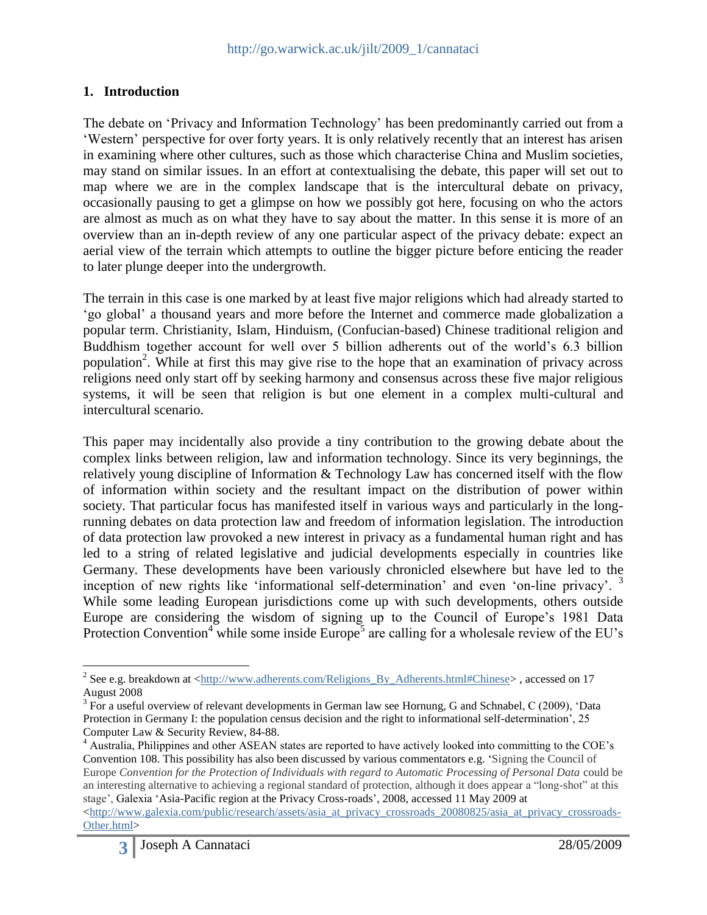## **1. Introduction**

The debate on 'Privacy and Information Technology' has been predominantly carried out from a ‗Western' perspective for over forty years. It is only relatively recently that an interest has arisen in examining where other cultures, such as those which characterise China and Muslim societies, may stand on similar issues. In an effort at contextualising the debate, this paper will set out to map where we are in the complex landscape that is the intercultural debate on privacy, occasionally pausing to get a glimpse on how we possibly got here, focusing on who the actors are almost as much as on what they have to say about the matter. In this sense it is more of an overview than an in-depth review of any one particular aspect of the privacy debate: expect an aerial view of the terrain which attempts to outline the bigger picture before enticing the reader to later plunge deeper into the undergrowth.

The terrain in this case is one marked by at least five major religions which had already started to ‗go global' a thousand years and more before the Internet and commerce made globalization a popular term. Christianity, Islam, Hinduism, (Confucian-based) Chinese traditional religion and Buddhism together account for well over 5 billion adherents out of the world's 6.3 billion population<sup>2</sup>. While at first this may give rise to the hope that an examination of privacy across religions need only start off by seeking harmony and consensus across these five major religious systems, it will be seen that religion is but one element in a complex multi-cultural and intercultural scenario.

This paper may incidentally also provide a tiny contribution to the growing debate about the complex links between religion, law and information technology. Since its very beginnings, the relatively young discipline of Information & Technology Law has concerned itself with the flow of information within society and the resultant impact on the distribution of power within society. That particular focus has manifested itself in various ways and particularly in the longrunning debates on data protection law and freedom of information legislation. The introduction of data protection law provoked a new interest in privacy as a fundamental human right and has led to a string of related legislative and judicial developments especially in countries like Germany. These developments have been variously chronicled elsewhere but have led to the inception of new rights like 'informational self-determination' and even 'on-line privacy'.  $3$ While some leading European jurisdictions come up with such developments, others outside Europe are considering the wisdom of signing up to the Council of Europe's 1981 Data Protection Convention<sup>4</sup> while some inside Europe<sup>5</sup> are calling for a wholesale review of the EU's

 $\text{thtn://www.galexia.com/public/research/assets/asia}$  at privacy crossroads 20080825/asia at privacy crossroads-[Other.html>](http://www.galexia.com/public/research/assets/asia_at_privacy_crossroads_20080825/asia_at_privacy_crossroads-Other.html)

<sup>&</sup>lt;sup>2</sup> See e.g. breakdown at [<http://www.adherents.com/Religions\\_By\\_Adherents.html#Chinese>](http://www.adherents.com/Religions_By_Adherents.html#Chinese), accessed on 17 August 2008

 $3$  For a useful overview of relevant developments in German law see Hornung, G and Schnabel, C (2009), 'Data Protection in Germany I: the population census decision and the right to informational self-determination', 25 Computer Law & Security Review, 84-88.

<sup>&</sup>lt;sup>4</sup> Australia, Philippines and other ASEAN states are reported to have actively looked into committing to the COE's Convention 108. This possibility has also been discussed by various commentators e.g. 'Signing the Council of Europe *Convention for the Protection of Individuals with regard to Automatic Processing of Personal Data* could be an interesting alternative to achieving a regional standard of protection, although it does appear a "long-shot" at this stage', Galexia 'Asia-Pacific region at the Privacy Cross-roads', 2008, accessed 11 May 2009 at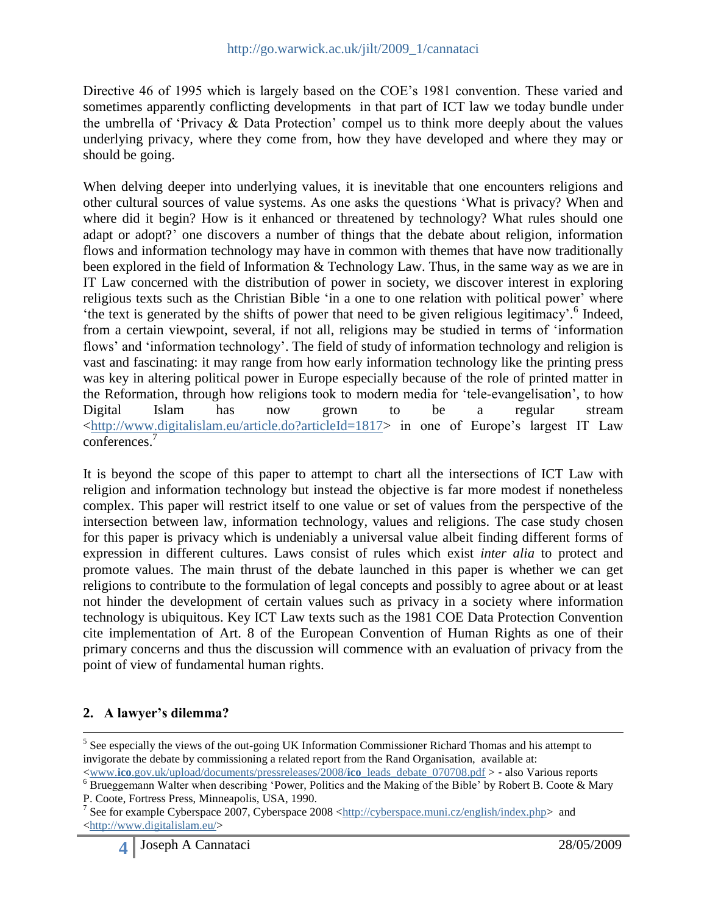Directive 46 of 1995 which is largely based on the COE's 1981 convention. These varied and sometimes apparently conflicting developments in that part of ICT law we today bundle under the umbrella of 'Privacy  $\&$  Data Protection' compel us to think more deeply about the values underlying privacy, where they come from, how they have developed and where they may or should be going.

When delving deeper into underlying values, it is inevitable that one encounters religions and other cultural sources of value systems. As one asks the questions ‗What is privacy? When and where did it begin? How is it enhanced or threatened by technology? What rules should one adapt or adopt?' one discovers a number of things that the debate about religion, information flows and information technology may have in common with themes that have now traditionally been explored in the field of Information & Technology Law. Thus, in the same way as we are in IT Law concerned with the distribution of power in society, we discover interest in exploring religious texts such as the Christian Bible 'in a one to one relation with political power' where 'the text is generated by the shifts of power that need to be given religious legitimacy'.<sup>6</sup> Indeed, from a certain viewpoint, several, if not all, religions may be studied in terms of 'information flows' and 'information technology'. The field of study of information technology and religion is vast and fascinating: it may range from how early information technology like the printing press was key in altering political power in Europe especially because of the role of printed matter in the Reformation, through how religions took to modern media for 'tele-evangelisation', to how Digital Islam has now grown to be a regular stream [<http://www.digitalislam.eu/article.do?articleId=1817>](http://www.digitalislam.eu/article.do?articleId=1817) in one of Europe's largest IT Law conferences.<sup>7</sup>

It is beyond the scope of this paper to attempt to chart all the intersections of ICT Law with religion and information technology but instead the objective is far more modest if nonetheless complex. This paper will restrict itself to one value or set of values from the perspective of the intersection between law, information technology, values and religions. The case study chosen for this paper is privacy which is undeniably a universal value albeit finding different forms of expression in different cultures. Laws consist of rules which exist *inter alia* to protect and promote values. The main thrust of the debate launched in this paper is whether we can get religions to contribute to the formulation of legal concepts and possibly to agree about or at least not hinder the development of certain values such as privacy in a society where information technology is ubiquitous. Key ICT Law texts such as the 1981 COE Data Protection Convention cite implementation of Art. 8 of the European Convention of Human Rights as one of their primary concerns and thus the discussion will commence with an evaluation of privacy from the point of view of fundamental human rights.

## **2. A lawyer's dilemma?**

 $<sup>5</sup>$  See especially the views of the out-going UK Information Commissioner Richard Thomas and his attempt to</sup> invigorate the debate by commissioning a related report from the Rand Organisation, available at: <www.**ico**[.gov.uk/upload/documents/pressreleases/2008/](http://www.ico.gov.uk/upload/documents/pressreleases/2008/ico_leads_debate_070708.pdf)**ico**\_leads\_debate\_070708.pdf > *-* also Various reports

<sup>&</sup>lt;sup>6</sup> Brueggemann Walter when describing 'Power, Politics and the Making of the Bible' by Robert B. Coote & Mary P. Coote, Fortress Press, Minneapolis, USA, 1990.

<sup>&</sup>lt;sup>7</sup> See for example Cyberspace 2007, Cyberspace 2008 [<http://cyberspace.muni.cz/english/index.php>](http://cyberspace.muni.cz/english/index.php) and [<http://www.digitalislam.eu/>](http://www.digitalislam.eu/)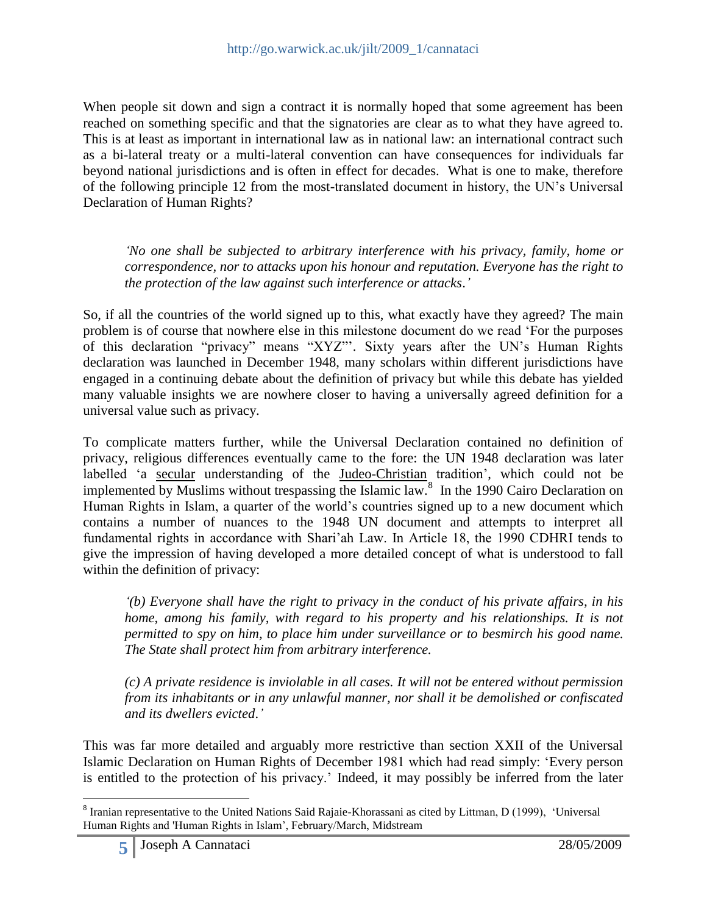When people sit down and sign a contract it is normally hoped that some agreement has been reached on something specific and that the signatories are clear as to what they have agreed to. This is at least as important in international law as in national law: an international contract such as a bi-lateral treaty or a multi-lateral convention can have consequences for individuals far beyond national jurisdictions and is often in effect for decades. What is one to make, therefore of the following principle 12 from the most-translated document in history, the UN's Universal Declaration of Human Rights?

*"No one shall be subjected to arbitrary interference with his privacy, family, home or correspondence, nor to attacks upon his honour and reputation. Everyone has the right to the protection of the law against such interference or attacks*.*"*

So, if all the countries of the world signed up to this, what exactly have they agreed? The main problem is of course that nowhere else in this milestone document do we read ‗For the purposes of this declaration "privacy" means "XYZ"'. Sixty years after the UN's Human Rights declaration was launched in December 1948, many scholars within different jurisdictions have engaged in a continuing debate about the definition of privacy but while this debate has yielded many valuable insights we are nowhere closer to having a universally agreed definition for a universal value such as privacy.

To complicate matters further, while the Universal Declaration contained no definition of privacy, religious differences eventually came to the fore: the UN 1948 declaration was later labelled 'a [secular](http://en.wikipedia.org/wiki/Secularism) understanding of the [Judeo-Christian](http://en.wikipedia.org/wiki/Judeo-Christian) tradition', which could not be implemented by Muslims without trespassing the Islamic law.<sup>8</sup> In the 1990 Cairo Declaration on Human Rights in Islam, a quarter of the world's countries signed up to a new document which contains a number of nuances to the 1948 UN document and attempts to interpret all fundamental rights in accordance with Shari'ah Law. In Article 18, the 1990 CDHRI tends to give the impression of having developed a more detailed concept of what is understood to fall within the definition of privacy:

*"(b) Everyone shall have the right to privacy in the conduct of his private affairs, in his home, among his family, with regard to his property and his relationships. It is not permitted to spy on him, to place him under surveillance or to besmirch his good name. The State shall protect him from arbitrary interference.*

*(c) A private residence is inviolable in all cases. It will not be entered without permission from its inhabitants or in any unlawful manner, nor shall it be demolished or confiscated and its dwellers evicted*.*"*

This was far more detailed and arguably more restrictive than section XXII of the Universal Islamic Declaration on Human Rights of December 1981 which had read simply: 'Every person is entitled to the protection of his privacy.' Indeed, it may possibly be inferred from the later

<sup>&</sup>lt;sup>8</sup> Iranian representative to the United Nations Said Rajaie-Khorassani as cited by Littman, D (1999), 'Universal Human Rights and 'Human Rights in Islam', February/March, Midstream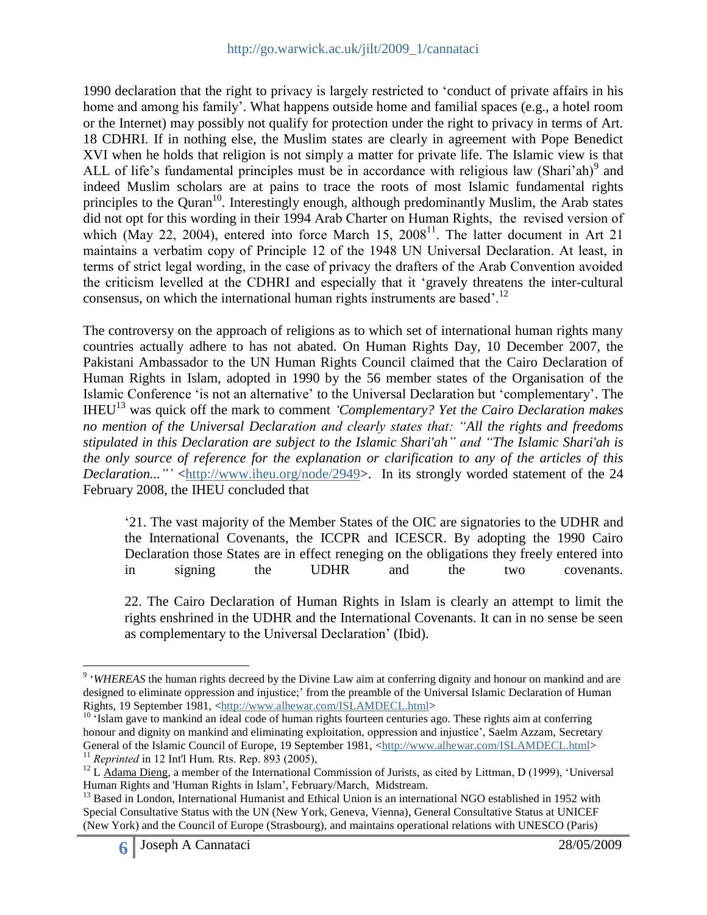1990 declaration that the right to privacy is largely restricted to 'conduct of private affairs in his home and among his family'. What happens outside home and familial spaces (e.g., a hotel room or the Internet) may possibly not qualify for protection under the right to privacy in terms of Art. 18 CDHRI. If in nothing else, the Muslim states are clearly in agreement with Pope Benedict XVI when he holds that religion is not simply a matter for private life. The Islamic view is that ALL of life's fundamental principles must be in accordance with religious law (Shari'ah) $^9$  and indeed Muslim scholars are at pains to trace the roots of most Islamic fundamental rights principles to the Quran<sup>10</sup>. Interestingly enough, although predominantly Muslim, the Arab states did not opt for this wording in their 1994 Arab Charter on Human Rights, the revised version of which (May 22, 2004), entered into force March 15,  $2008<sup>11</sup>$ . The latter document in Art 21 maintains a verbatim copy of Principle 12 of the 1948 UN Universal Declaration. At least, in terms of strict legal wording, in the case of privacy the drafters of the Arab Convention avoided the criticism levelled at the CDHRI and especially that it 'gravely threatens the inter-cultural consensus, on which the international human rights instruments are based'.<sup>12</sup>

The controversy on the approach of religions as to which set of international human rights many countries actually adhere to has not abated. On Human Rights Day, 10 December 2007, the Pakistani Ambassador to the UN Human Rights Council claimed that the Cairo Declaration of Human Rights in Islam, adopted in 1990 by the 56 member states of the Organisation of the Islamic Conference 'is not an alternative' to the Universal Declaration but 'complementary'. The IHEU<sup>13</sup> was quick off the mark to comment *"Complementary? Yet the Cairo Declaration makes no mention of the Universal Declaration and clearly states that: "All the rights and freedoms stipulated in this Declaration are subject to the Islamic Shari'ah" and "The Islamic Shari'ah is the only source of reference for the explanation or clarification to any of the articles of this Declaration...""* [<http://www.iheu.org/node/2949>](http://www.iheu.org/node/2949).In its strongly worded statement of the 24 February 2008, the IHEU concluded that

‗21. The vast majority of the Member States of the OIC are signatories to the UDHR and the International Covenants, the ICCPR and ICESCR. By adopting the 1990 Cairo Declaration those States are in effect reneging on the obligations they freely entered into in signing the UDHR and the two covenants.

22. The Cairo Declaration of Human Rights in Islam is clearly an attempt to limit the rights enshrined in the UDHR and the International Covenants. It can in no sense be seen as complementary to the Universal Declaration' (Ibid).

 $\overline{a}$ <sup>9</sup> 'WHEREAS the human rights decreed by the Divine Law aim at conferring dignity and honour on mankind and are designed to eliminate oppression and injustice;' from the preamble of the Universal Islamic Declaration of Human Rights, 19 September 1981, [<http://www.alhewar.com/ISLAMDECL.html>](http://www.alhewar.com/ISLAMDECL.html)

<sup>&</sup>lt;sup>10</sup> <sup>Io</sup> Islam gave to mankind an ideal code of human rights fourteen centuries ago. These rights aim at conferring honour and dignity on mankind and eliminating exploitation, oppression and injustice', Saelm Azzam, Secretary General of the Islamic Council of Europe, 19 September 1981, [<http://www.alhewar.com/ISLAMDECL.html>](http://www.alhewar.com/ISLAMDECL.html) <sup>11</sup> *Reprinted* in 12 Int'l Hum. Rts. Rep. 893 (2005),

 $12$  [L Adama Dieng,](http://en.wikipedia.org/wiki/Adama_Dieng) a member of the [International Commission of Jurists,](http://en.wikipedia.org/wiki/International_Commission_of_Jurists) as cited by Littman, D (1999), 'Universal Human Rights and 'Human Rights in Islam', February/March, Midstream.

<sup>&</sup>lt;sup>13</sup> Based in London, International Humanist and Ethical Union is an international [NGO](http://www.iheu.org/glossary/term/251) established in 1952 with Special Consultative Status with the [UN \(New York, Geneva, Vienna\),](http://www.iheu.org/taxonomy/term/68+50+80) General Consultative Status at UNICEF (New York) and the Council of Europe (Strasbourg), and maintains operational relations with UNESCO (Paris)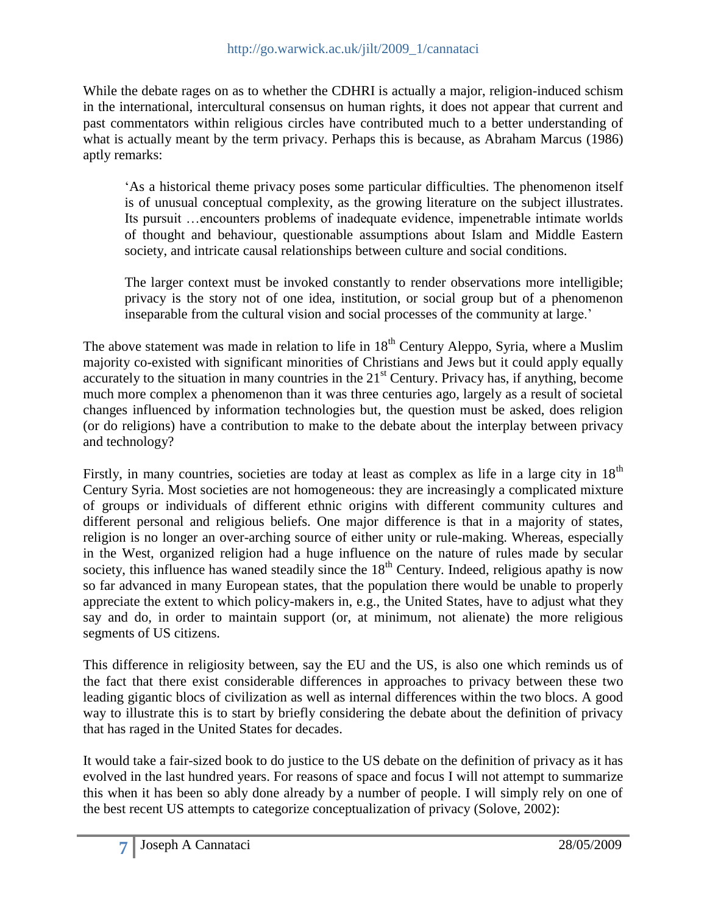#### http://go.warwick.ac.uk/jilt/2009\_1/cannataci

While the debate rages on as to whether the CDHRI is actually a major, religion-induced schism in the international, intercultural consensus on human rights, it does not appear that current and past commentators within religious circles have contributed much to a better understanding of what is actually meant by the term privacy. Perhaps this is because, as Abraham Marcus (1986) aptly remarks:

‗As a historical theme privacy poses some particular difficulties. The phenomenon itself is of unusual conceptual complexity, as the growing literature on the subject illustrates. Its pursuit …encounters problems of inadequate evidence, impenetrable intimate worlds of thought and behaviour, questionable assumptions about Islam and Middle Eastern society, and intricate causal relationships between culture and social conditions.

The larger context must be invoked constantly to render observations more intelligible; privacy is the story not of one idea, institution, or social group but of a phenomenon inseparable from the cultural vision and social processes of the community at large.'

The above statement was made in relation to life in  $18<sup>th</sup>$  Century Aleppo, Syria, where a Muslim majority co-existed with significant minorities of Christians and Jews but it could apply equally accurately to the situation in many countries in the 21<sup>st</sup> Century. Privacy has, if anything, become much more complex a phenomenon than it was three centuries ago, largely as a result of societal changes influenced by information technologies but, the question must be asked, does religion (or do religions) have a contribution to make to the debate about the interplay between privacy and technology?

Firstly, in many countries, societies are today at least as complex as life in a large city in 18<sup>th</sup> Century Syria. Most societies are not homogeneous: they are increasingly a complicated mixture of groups or individuals of different ethnic origins with different community cultures and different personal and religious beliefs. One major difference is that in a majority of states, religion is no longer an over-arching source of either unity or rule-making. Whereas, especially in the West, organized religion had a huge influence on the nature of rules made by secular society, this influence has waned steadily since the  $18<sup>th</sup>$  Century. Indeed, religious apathy is now so far advanced in many European states, that the population there would be unable to properly appreciate the extent to which policy-makers in, e.g., the United States, have to adjust what they say and do, in order to maintain support (or, at minimum, not alienate) the more religious segments of US citizens.

This difference in religiosity between, say the EU and the US, is also one which reminds us of the fact that there exist considerable differences in approaches to privacy between these two leading gigantic blocs of civilization as well as internal differences within the two blocs. A good way to illustrate this is to start by briefly considering the debate about the definition of privacy that has raged in the United States for decades.

It would take a fair-sized book to do justice to the US debate on the definition of privacy as it has evolved in the last hundred years. For reasons of space and focus I will not attempt to summarize this when it has been so ably done already by a number of people. I will simply rely on one of the best recent US attempts to categorize conceptualization of privacy (Solove, 2002):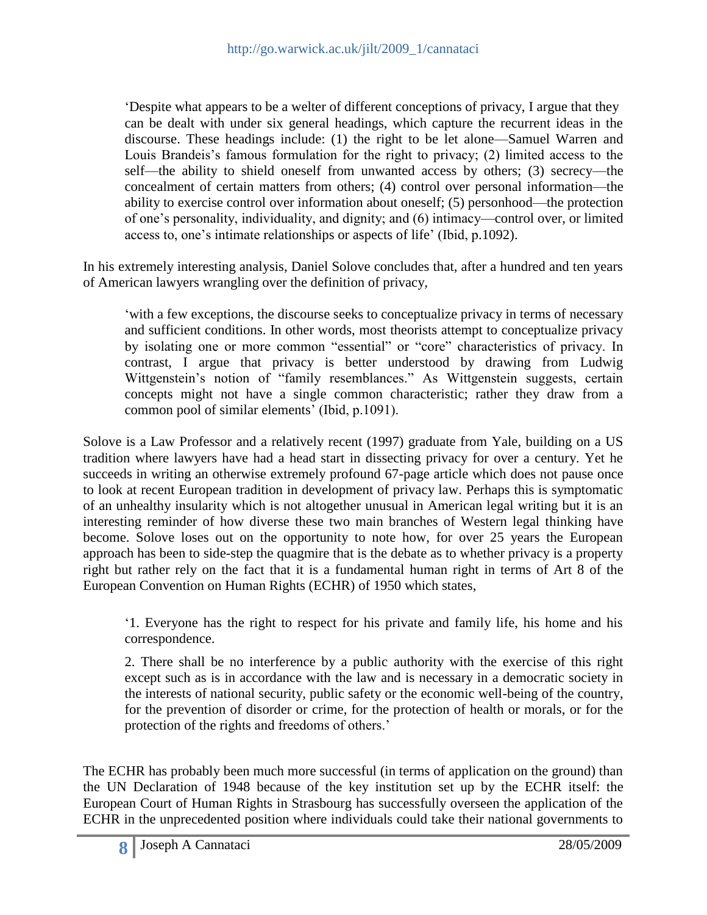‗Despite what appears to be a welter of different conceptions of privacy, I argue that they can be dealt with under six general headings, which capture the recurrent ideas in the discourse. These headings include: (1) the right to be let alone—Samuel Warren and Louis Brandeis's famous formulation for the right to privacy; (2) limited access to the self—the ability to shield oneself from unwanted access by others; (3) secrecy—the concealment of certain matters from others; (4) control over personal information—the ability to exercise control over information about oneself; (5) personhood—the protection of one's personality, individuality, and dignity; and (6) intimacy—control over, or limited access to, one's intimate relationships or aspects of life' (Ibid, p.1092).

In his extremely interesting analysis, Daniel Solove concludes that, after a hundred and ten years of American lawyers wrangling over the definition of privacy,

‗with a few exceptions, the discourse seeks to conceptualize privacy in terms of necessary and sufficient conditions. In other words, most theorists attempt to conceptualize privacy by isolating one or more common "essential" or "core" characteristics of privacy. In contrast, I argue that privacy is better understood by drawing from Ludwig Wittgenstein's notion of "family resemblances." As Wittgenstein suggests, certain concepts might not have a single common characteristic; rather they draw from a common pool of similar elements' (Ibid, p.1091).

Solove is a Law Professor and a relatively recent (1997) graduate from Yale, building on a US tradition where lawyers have had a head start in dissecting privacy for over a century. Yet he succeeds in writing an otherwise extremely profound 67-page article which does not pause once to look at recent European tradition in development of privacy law. Perhaps this is symptomatic of an unhealthy insularity which is not altogether unusual in American legal writing but it is an interesting reminder of how diverse these two main branches of Western legal thinking have become. Solove loses out on the opportunity to note how, for over 25 years the European approach has been to side-step the quagmire that is the debate as to whether privacy is a property right but rather rely on the fact that it is a fundamental human right in terms of Art 8 of the European Convention on Human Rights (ECHR) of 1950 which states,

‗1. Everyone has the right to respect for his private and family life, his home and his correspondence.

2. There shall be no interference by a public authority with the exercise of this right except such as is in accordance with the law and is necessary in a democratic society in the interests of national security, public safety or the economic well-being of the country, for the prevention of disorder or crime, for the protection of health or morals, or for the protection of the rights and freedoms of others.'

The ECHR has probably been much more successful (in terms of application on the ground) than the UN Declaration of 1948 because of the key institution set up by the ECHR itself: the European Court of Human Rights in Strasbourg has successfully overseen the application of the ECHR in the unprecedented position where individuals could take their national governments to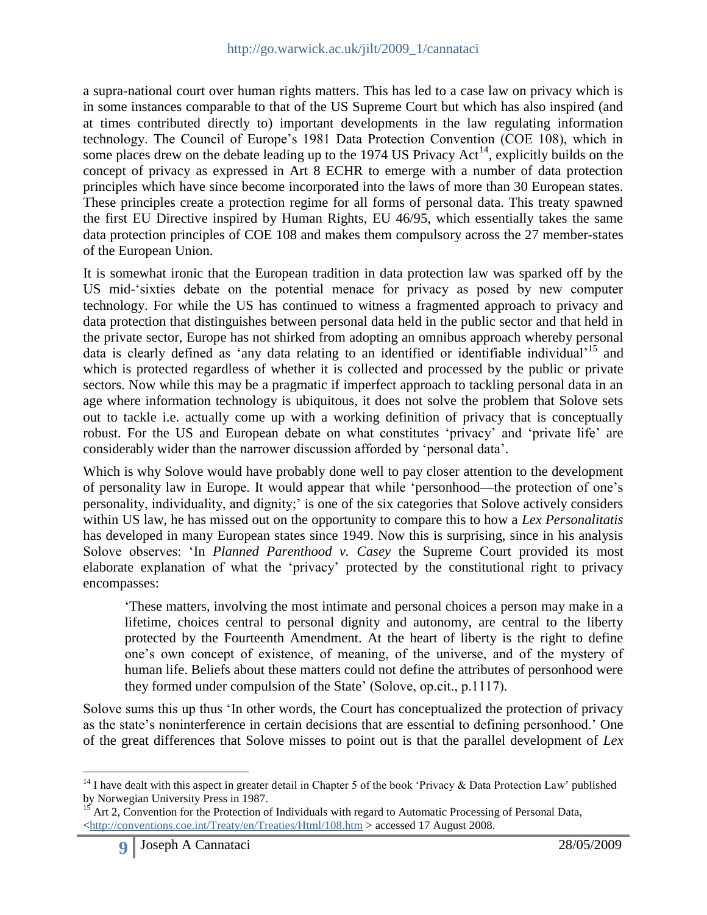a supra-national court over human rights matters. This has led to a case law on privacy which is in some instances comparable to that of the US Supreme Court but which has also inspired (and at times contributed directly to) important developments in the law regulating information technology. The Council of Europe's 1981 Data Protection Convention (COE 108), which in some places drew on the debate leading up to the 1974 US Privacy  $Act^{14}$ , explicitly builds on the concept of privacy as expressed in Art 8 ECHR to emerge with a number of data protection principles which have since become incorporated into the laws of more than 30 European states. These principles create a protection regime for all forms of personal data. This treaty spawned the first EU Directive inspired by Human Rights, EU 46/95, which essentially takes the same data protection principles of COE 108 and makes them compulsory across the 27 member-states of the European Union.

It is somewhat ironic that the European tradition in data protection law was sparked off by the US mid-‗sixties debate on the potential menace for privacy as posed by new computer technology. For while the US has continued to witness a fragmented approach to privacy and data protection that distinguishes between personal data held in the public sector and that held in the private sector, Europe has not shirked from adopting an omnibus approach whereby personal data is clearly defined as 'any data relating to an identified or identifiable individual'<sup>15</sup> and which is protected regardless of whether it is collected and processed by the public or private sectors. Now while this may be a pragmatic if imperfect approach to tackling personal data in an age where information technology is ubiquitous, it does not solve the problem that Solove sets out to tackle i.e. actually come up with a working definition of privacy that is conceptually robust. For the US and European debate on what constitutes 'privacy' and 'private life' are considerably wider than the narrower discussion afforded by 'personal data'.

Which is why Solove would have probably done well to pay closer attention to the development of personality law in Europe. It would appear that while 'personhood—the protection of one's personality, individuality, and dignity;' is one of the six categories that Solove actively considers within US law, he has missed out on the opportunity to compare this to how a *Lex Personalitatis*  has developed in many European states since 1949. Now this is surprising, since in his analysis Solove observes: 'In *Planned Parenthood v. Casey* the Supreme Court provided its most elaborate explanation of what the 'privacy' protected by the constitutional right to privacy encompasses:

‗These matters, involving the most intimate and personal choices a person may make in a lifetime, choices central to personal dignity and autonomy, are central to the liberty protected by the Fourteenth Amendment. At the heart of liberty is the right to define one's own concept of existence, of meaning, of the universe, and of the mystery of human life. Beliefs about these matters could not define the attributes of personhood were they formed under compulsion of the State' (Solove, op.cit., p.1117).

Solove sums this up thus 'In other words, the Court has conceptualized the protection of privacy as the state's noninterference in certain decisions that are essential to defining personhood.' One of the great differences that Solove misses to point out is that the parallel development of *Lex* 

<sup>&</sup>lt;sup>14</sup> I have dealt with this aspect in greater detail in Chapter 5 of the book 'Privacy & Data Protection Law' published by Norwegian University Press in 1987.

<sup>&</sup>lt;sup>15</sup> Art 2, Convention for the Protection of Individuals with regard to Automatic Processing of Personal Data, [<http://conventions.coe.int/Treaty/en/Treaties/Html/108.htm](http://conventions.coe.int/Treaty/en/Treaties/Html/108.htm) > accessed 17 August 2008.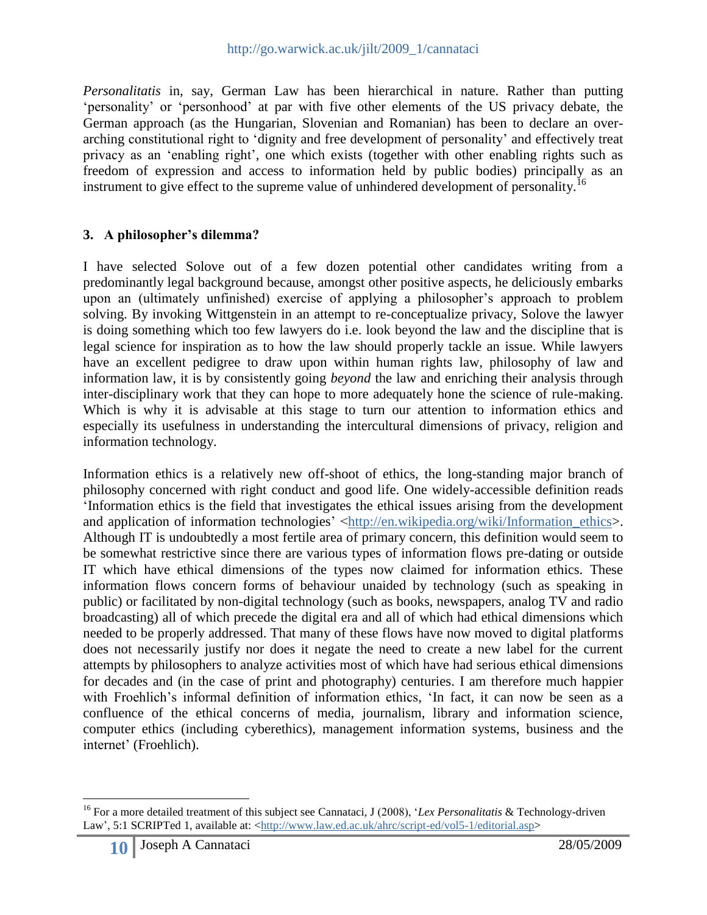*Personalitatis* in, say, German Law has been hierarchical in nature. Rather than putting ‗personality' or ‗personhood' at par with five other elements of the US privacy debate, the German approach (as the Hungarian, Slovenian and Romanian) has been to declare an overarching constitutional right to 'dignity and free development of personality' and effectively treat privacy as an ‗enabling right', one which exists (together with other enabling rights such as freedom of expression and access to information held by public bodies) principally as an instrument to give effect to the supreme value of unhindered development of personality.<sup>16</sup>

## **3. A philosopher's dilemma?**

I have selected Solove out of a few dozen potential other candidates writing from a predominantly legal background because, amongst other positive aspects, he deliciously embarks upon an (ultimately unfinished) exercise of applying a philosopher's approach to problem solving. By invoking Wittgenstein in an attempt to re-conceptualize privacy, Solove the lawyer is doing something which too few lawyers do i.e. look beyond the law and the discipline that is legal science for inspiration as to how the law should properly tackle an issue. While lawyers have an excellent pedigree to draw upon within human rights law, philosophy of law and information law, it is by consistently going *beyond* the law and enriching their analysis through inter-disciplinary work that they can hope to more adequately hone the science of rule-making. Which is why it is advisable at this stage to turn our attention to information ethics and especially its usefulness in understanding the intercultural dimensions of privacy, religion and information technology.

Information ethics is a relatively new off-shoot of ethics, the long-standing major branch of philosophy concerned with right conduct and good life. One widely-accessible definition reads ‗Information ethics is the field that investigates the ethical issues arising from the development and application of information technologies' <http://en.wikipedia.org/wiki/Information ethics>. Although IT is undoubtedly a most fertile area of primary concern, this definition would seem to be somewhat restrictive since there are various types of information flows pre-dating or outside IT which have ethical dimensions of the types now claimed for information ethics. These information flows concern forms of behaviour unaided by technology (such as speaking in public) or facilitated by non-digital technology (such as books, newspapers, analog TV and radio broadcasting) all of which precede the digital era and all of which had ethical dimensions which needed to be properly addressed. That many of these flows have now moved to digital platforms does not necessarily justify nor does it negate the need to create a new label for the current attempts by philosophers to analyze activities most of which have had serious ethical dimensions for decades and (in the case of print and photography) centuries. I am therefore much happier with Froehlich's informal definition of information ethics, 'In fact, it can now be seen as a confluence of the ethical concerns of media, journalism, library and information science, computer ethics (including cyberethics), management information systems, business and the internet' (Froehlich).

 $\overline{a}$ <sup>16</sup> For a more detailed treatment of this subject see Cannataci, J (2008), 'Lex Personalitatis & Technology-driven Law', 5:1 SCRIPTed 1, available at: [<http://www.law.ed.ac.uk/ahrc/script-ed/vol5-1/editorial.asp>](http://www.law.ed.ac.uk/ahrc/script-ed/vol5-1/editorial.asp)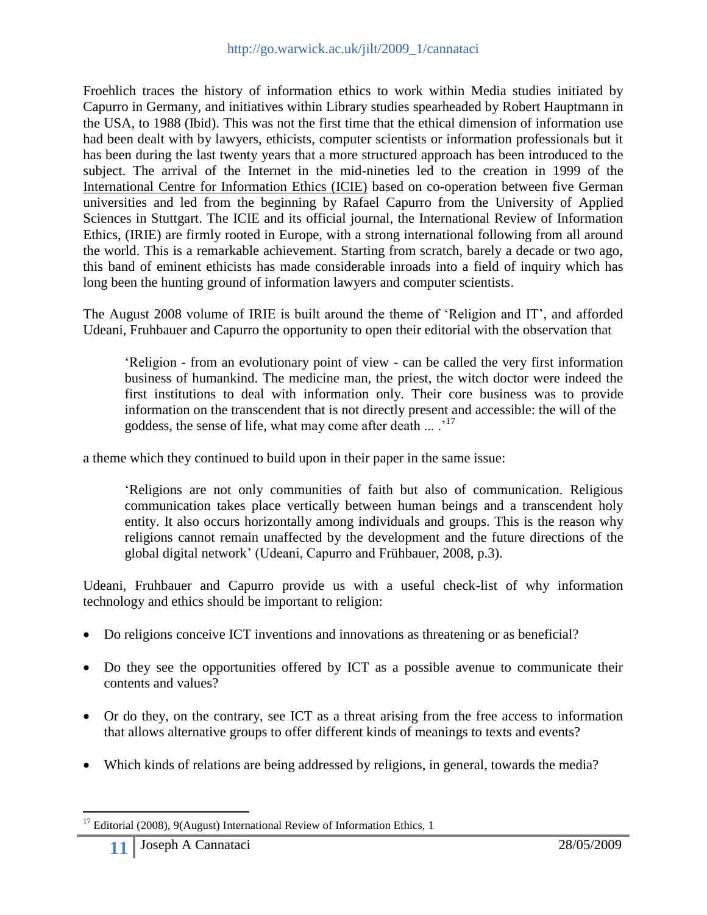Froehlich traces the history of information ethics to work within Media studies initiated by Capurro in Germany, and initiatives within Library studies spearheaded by Robert Hauptmann in the USA, to 1988 (Ibid). This was not the first time that the ethical dimension of information use had been dealt with by lawyers, ethicists, computer scientists or information professionals but it has been during the last twenty years that a more structured approach has been introduced to the subject. The arrival of the Internet in the mid-nineties led to the creation in 1999 of the International Centre [for Information Ethics \(ICIE\)](http://icie.zkm.de/) based on co-operation between five German universities and led from the beginning by Rafael Capurro from the University of Applied Sciences in Stuttgart. The ICIE and its official journal, the International Review of Information Ethics, (IRIE) are firmly rooted in Europe, with a strong international following from all around the world. This is a remarkable achievement. Starting from scratch, barely a decade or two ago, this band of eminent ethicists has made considerable inroads into a field of inquiry which has long been the hunting ground of information lawyers and computer scientists.

The August 2008 volume of IRIE is built around the theme of 'Religion and IT', and afforded Udeani, Fruhbauer and Capurro the opportunity to open their editorial with the observation that

‗Religion - from an evolutionary point of view - can be called the very first information business of humankind. The medicine man, the priest, the witch doctor were indeed the first institutions to deal with information only. Their core business was to provide information on the transcendent that is not directly present and accessible: the will of the goddess, the sense of life, what may come after death  $\ldots$ <sup>17</sup>

a theme which they continued to build upon in their paper in the same issue:

‗Religions are not only communities of faith but also of communication. Religious communication takes place vertically between human beings and a transcendent holy entity. It also occurs horizontally among individuals and groups. This is the reason why religions cannot remain unaffected by the development and the future directions of the global digital network' (Udeani, Capurro and Frühbauer, 2008, p.3).

Udeani, Fruhbauer and Capurro provide us with a useful check-list of why information technology and ethics should be important to religion:

- Do religions conceive ICT inventions and innovations as threatening or as beneficial?
- Do they see the opportunities offered by ICT as a possible avenue to communicate their contents and values?
- Or do they, on the contrary, see ICT as a threat arising from the free access to information that allows alternative groups to offer different kinds of meanings to texts and events?
- Which kinds of relations are being addressed by religions, in general, towards the media?

 $\overline{a}$  $17$  Editorial (2008), 9(August) International Review of Information Ethics, 1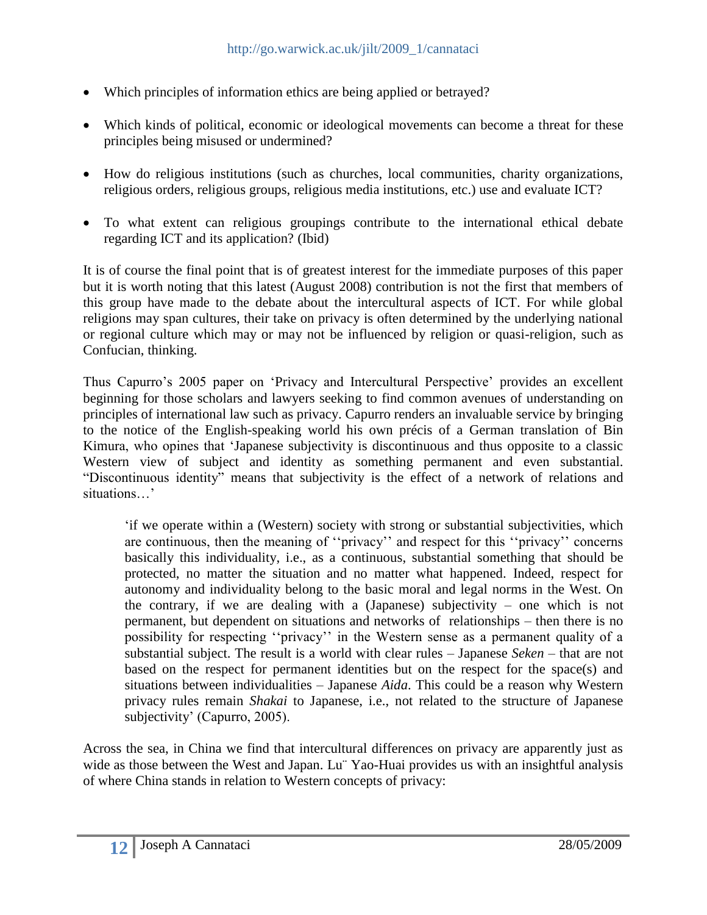- Which principles of information ethics are being applied or betrayed?
- Which kinds of political, economic or ideological movements can become a threat for these principles being misused or undermined?
- How do religious institutions (such as churches, local communities, charity organizations, religious orders, religious groups, religious media institutions, etc.) use and evaluate ICT?
- To what extent can religious groupings contribute to the international ethical debate regarding ICT and its application? (Ibid)

It is of course the final point that is of greatest interest for the immediate purposes of this paper but it is worth noting that this latest (August 2008) contribution is not the first that members of this group have made to the debate about the intercultural aspects of ICT. For while global religions may span cultures, their take on privacy is often determined by the underlying national or regional culture which may or may not be influenced by religion or quasi-religion, such as Confucian, thinking.

Thus Capurro's 2005 paper on 'Privacy and Intercultural Perspective' provides an excellent beginning for those scholars and lawyers seeking to find common avenues of understanding on principles of international law such as privacy. Capurro renders an invaluable service by bringing to the notice of the English-speaking world his own précis of a German translation of Bin Kimura, who opines that ‗Japanese subjectivity is discontinuous and thus opposite to a classic Western view of subject and identity as something permanent and even substantial. "Discontinuous identity" means that subjectivity is the effect of a network of relations and situations…'

‗if we operate within a (Western) society with strong or substantial subjectivities, which are continuous, then the meaning of "privacy" and respect for this "privacy" concerns basically this individuality, i.e., as a continuous, substantial something that should be protected, no matter the situation and no matter what happened. Indeed, respect for autonomy and individuality belong to the basic moral and legal norms in the West. On the contrary, if we are dealing with a (Japanese) subjectivity – one which is not permanent, but dependent on situations and networks of relationships – then there is no possibility for respecting "privacy" in the Western sense as a permanent quality of a substantial subject. The result is a world with clear rules – Japanese *Seken* – that are not based on the respect for permanent identities but on the respect for the space(s) and situations between individualities – Japanese *Aida*. This could be a reason why Western privacy rules remain *Shakai* to Japanese, i.e., not related to the structure of Japanese subjectivity' (Capurro, 2005).

Across the sea, in China we find that intercultural differences on privacy are apparently just as wide as those between the West and Japan. Lu<sup>"</sup> Yao-Huai provides us with an insightful analysis of where China stands in relation to Western concepts of privacy: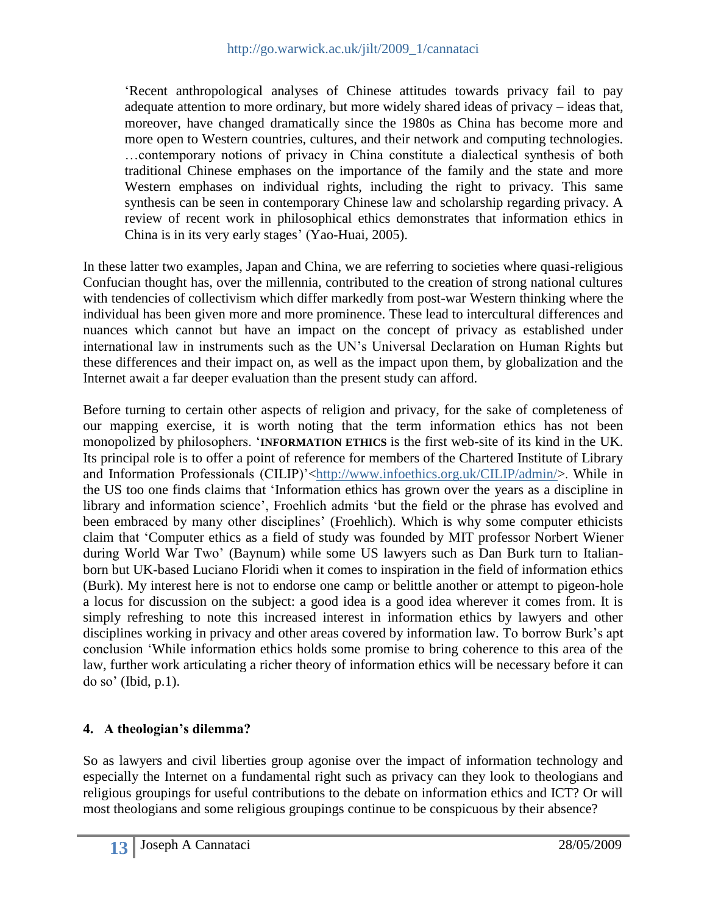‗Recent anthropological analyses of Chinese attitudes towards privacy fail to pay adequate attention to more ordinary, but more widely shared ideas of privacy – ideas that, moreover, have changed dramatically since the 1980s as China has become more and more open to Western countries, cultures, and their network and computing technologies. …contemporary notions of privacy in China constitute a dialectical synthesis of both traditional Chinese emphases on the importance of the family and the state and more Western emphases on individual rights, including the right to privacy. This same synthesis can be seen in contemporary Chinese law and scholarship regarding privacy. A review of recent work in philosophical ethics demonstrates that information ethics in China is in its very early stages' (Yao-Huai, 2005).

In these latter two examples, Japan and China, we are referring to societies where quasi-religious Confucian thought has, over the millennia, contributed to the creation of strong national cultures with tendencies of collectivism which differ markedly from post-war Western thinking where the individual has been given more and more prominence. These lead to intercultural differences and nuances which cannot but have an impact on the concept of privacy as established under international law in instruments such as the UN's Universal Declaration on Human Rights but these differences and their impact on, as well as the impact upon them, by globalization and the Internet await a far deeper evaluation than the present study can afford.

Before turning to certain other aspects of religion and privacy, for the sake of completeness of our mapping exercise, it is worth noting that the term information ethics has not been monopolized by philosophers. ‗**INFORMATION ETHICS** is the first web-site of its kind in the UK. Its principal role is to offer a point of reference for members of the Chartered Institute of Library and Information Professionals (CILIP)'[<http://www.infoethics.org.uk/CILIP/admin/>](http://www.infoethics.org.uk/CILIP/admin/). While in the US too one finds claims that 'Information ethics has grown over the years as a discipline in library and information science', Froehlich admits 'but the field or the phrase has evolved and been embraced by many other disciplines' (Froehlich). Which is why some computer ethicists claim that ‗Computer ethics as a field of study was founded by MIT professor Norbert Wiener during World War Two' (Baynum) while some US lawyers such as Dan Burk turn to Italianborn but UK-based Luciano Floridi when it comes to inspiration in the field of information ethics (Burk). My interest here is not to endorse one camp or belittle another or attempt to pigeon-hole a locus for discussion on the subject: a good idea is a good idea wherever it comes from. It is simply refreshing to note this increased interest in information ethics by lawyers and other disciplines working in privacy and other areas covered by information law. To borrow Burk's apt conclusion ‗While information ethics holds some promise to bring coherence to this area of the law, further work articulating a richer theory of information ethics will be necessary before it can do so' (Ibid, p.1).

## **4. A theologian's dilemma?**

So as lawyers and civil liberties group agonise over the impact of information technology and especially the Internet on a fundamental right such as privacy can they look to theologians and religious groupings for useful contributions to the debate on information ethics and ICT? Or will most theologians and some religious groupings continue to be conspicuous by their absence?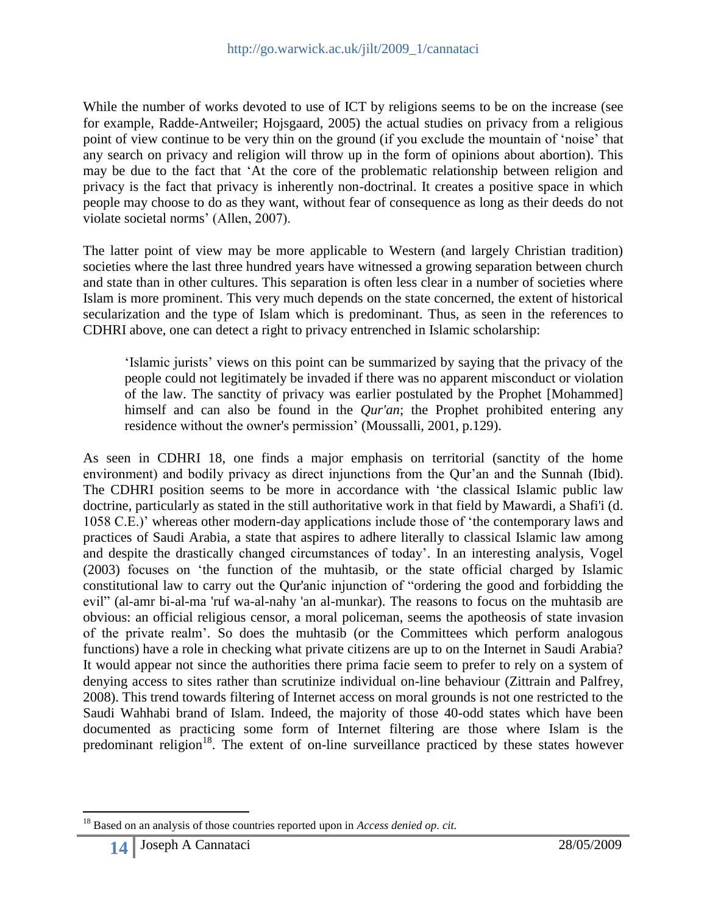While the number of works devoted to use of ICT by religions seems to be on the increase (see for example, Radde-Antweiler; [Hojsgaard,](http://www.amazon.com/exec/obidos/search-handle-url?%5Fencoding=UTF8&search-type=ss&index=books&field-author=M.%20Hojsgaard) 2005) the actual studies on privacy from a religious point of view continue to be very thin on the ground (if you exclude the mountain of 'noise' that any search on privacy and religion will throw up in the form of opinions about abortion). This may be due to the fact that ‗At the core of the problematic relationship between religion and privacy is the fact that privacy is inherently non-doctrinal. It creates a positive space in which people may choose to do as they want, without fear of consequence as long as their deeds do not violate societal norms' (Allen, 2007).

The latter point of view may be more applicable to Western (and largely Christian tradition) societies where the last three hundred years have witnessed a growing separation between church and state than in other cultures. This separation is often less clear in a number of societies where Islam is more prominent. This very much depends on the state concerned, the extent of historical secularization and the type of Islam which is predominant. Thus, as seen in the references to CDHRI above, one can detect a right to privacy entrenched in Islamic scholarship:

'Islamic jurists' views on this point can be summarized by saying that the privacy of the people could not legitimately be invaded if there was no apparent misconduct or violation of the law. The sanctity of privacy was earlier postulated by the Prophet [Mohammed] himself and can also be found in the *Qur'an*; the Prophet prohibited entering any residence without the owner's permission' (Moussalli, 2001, p.129).

As seen in CDHRI 18, one finds a major emphasis on territorial (sanctity of the home environment) and bodily privacy as direct injunctions from the Qur'an and the Sunnah (Ibid). The CDHRI position seems to be more in accordance with 'the classical Islamic public law doctrine, particularly as stated in the still authoritative work in that field by Mawardi, a Shafi'i (d. 1058 C.E.)' whereas other modern-day applications include those of ‗the contemporary laws and practices of Saudi Arabia, a state that aspires to adhere literally to classical Islamic law among and despite the drastically changed circumstances of today'. In an interesting analysis, Vogel (2003) focuses on 'the function of the muhtasib, or the state official charged by Islamic constitutional law to carry out the Qur'anic injunction of "ordering the good and forbidding the evil" (al-amr bi-al-ma 'ruf wa-al-nahy 'an al-munkar). The reasons to focus on the muhtasib are obvious: an official religious censor, a moral policeman, seems the apotheosis of state invasion of the private realm'. So does the muhtasib (or the Committees which perform analogous functions) have a role in checking what private citizens are up to on the Internet in Saudi Arabia? It would appear not since the authorities there prima facie seem to prefer to rely on a system of denying access to sites rather than scrutinize individual on-line behaviour (Zittrain and Palfrey, 2008). This trend towards filtering of Internet access on moral grounds is not one restricted to the Saudi Wahhabi brand of Islam. Indeed, the majority of those 40-odd states which have been documented as practicing some form of Internet filtering are those where Islam is the predominant religion<sup>18</sup>. The extent of on-line surveillance practiced by these states however

<sup>&</sup>lt;sup>18</sup> Based on an analysis of those countries reported upon in *Access denied op. cit.*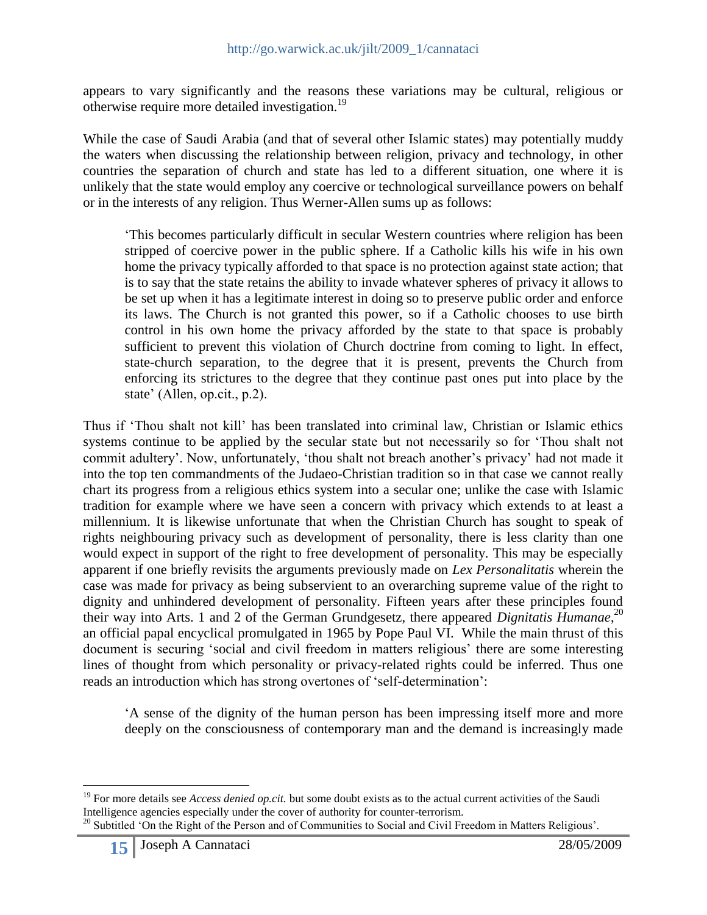appears to vary significantly and the reasons these variations may be cultural, religious or otherwise require more detailed investigation.<sup>19</sup>

While the case of Saudi Arabia (and that of several other Islamic states) may potentially muddy the waters when discussing the relationship between religion, privacy and technology, in other countries the separation of church and state has led to a different situation, one where it is unlikely that the state would employ any coercive or technological surveillance powers on behalf or in the interests of any religion. Thus Werner-Allen sums up as follows:

‗This becomes particularly difficult in secular Western countries where religion has been stripped of coercive power in the public sphere. If a Catholic kills his wife in his own home the privacy typically afforded to that space is no protection against state action; that is to say that the state retains the ability to invade whatever spheres of privacy it allows to be set up when it has a legitimate interest in doing so to preserve public order and enforce its laws. The Church is not granted this power, so if a Catholic chooses to use birth control in his own home the privacy afforded by the state to that space is probably sufficient to prevent this violation of Church doctrine from coming to light. In effect, state-church separation, to the degree that it is present, prevents the Church from enforcing its strictures to the degree that they continue past ones put into place by the state' (Allen, op.cit., p.2).

Thus if ‗Thou shalt not kill' has been translated into criminal law, Christian or Islamic ethics systems continue to be applied by the secular state but not necessarily so for 'Thou shalt not commit adultery'. Now, unfortunately, 'thou shalt not breach another's privacy' had not made it into the top ten commandments of the Judaeo-Christian tradition so in that case we cannot really chart its progress from a religious ethics system into a secular one; unlike the case with Islamic tradition for example where we have seen a concern with privacy which extends to at least a millennium. It is likewise unfortunate that when the Christian Church has sought to speak of rights neighbouring privacy such as development of personality, there is less clarity than one would expect in support of the right to free development of personality. This may be especially apparent if one briefly revisits the arguments previously made on *Lex Personalitatis* wherein the case was made for privacy as being subservient to an overarching supreme value of the right to dignity and unhindered development of personality. Fifteen years after these principles found their way into Arts. 1 and 2 of the German Grundgesetz, there appeared *Dignitatis Humanae*, 20 an official papal encyclical promulgated in 1965 by Pope Paul VI. While the main thrust of this document is securing 'social and civil freedom in matters religious' there are some interesting lines of thought from which personality or privacy-related rights could be inferred. Thus one reads an introduction which has strong overtones of 'self-determination':

‗A sense of the dignity of the human person has been impressing itself more and more deeply on the consciousness of contemporary man and the demand is increasingly made

<sup>&</sup>lt;sup>19</sup> For more details see *Access denied op.cit.* but some doubt exists as to the actual current activities of the Saudi Intelligence agencies especially under the cover of authority for counter-terrorism.

<sup>&</sup>lt;sup>20</sup> Subtitled 'On the Right of the Person and of Communities to Social and Civil Freedom in Matters Religious'.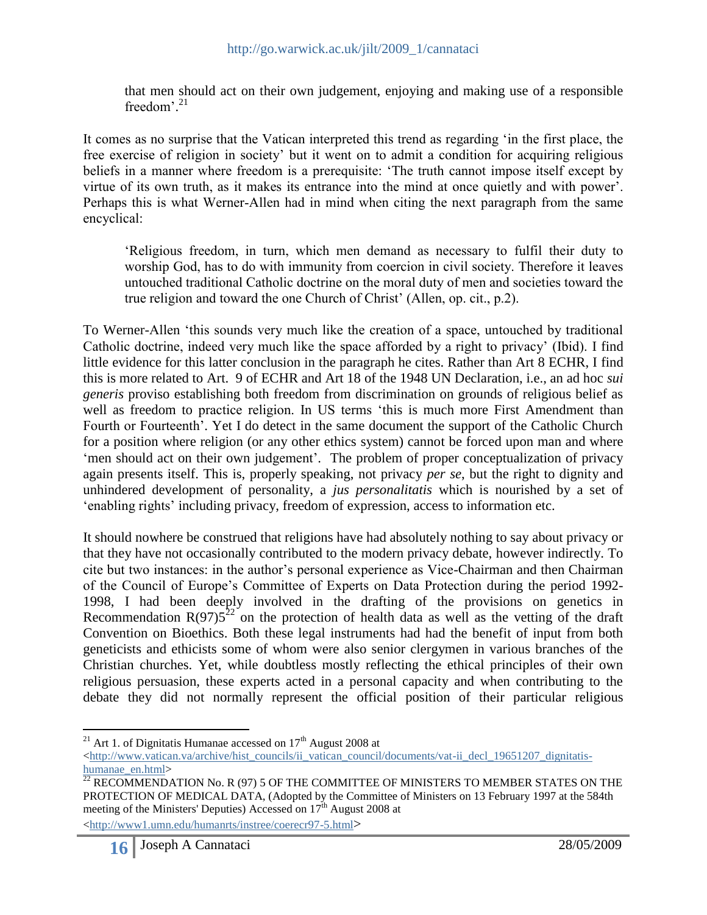that men should act on their own judgement, enjoying and making use of a responsible freedom'. 21

It comes as no surprise that the Vatican interpreted this trend as regarding 'in the first place, the free exercise of religion in society' but it went on to admit a condition for acquiring religious beliefs in a manner where freedom is a prerequisite: 'The truth cannot impose itself except by virtue of its own truth, as it makes its entrance into the mind at once quietly and with power'. Perhaps this is what Werner-Allen had in mind when citing the next paragraph from the same encyclical:

'Religious freedom, in turn, which men demand as necessary to fulfil their duty to worship God, has to do with immunity from coercion in civil society. Therefore it leaves untouched traditional Catholic doctrine on the moral duty of men and societies toward the true religion and toward the one Church of Christ' (Allen, op. cit., p.2).

To Werner-Allen 'this sounds very much like the creation of a space, untouched by traditional Catholic doctrine, indeed very much like the space afforded by a right to privacy' (Ibid). I find little evidence for this latter conclusion in the paragraph he cites. Rather than Art 8 ECHR, I find this is more related to Art. 9 of ECHR and Art 18 of the 1948 UN Declaration, i.e., an ad hoc *sui generis* proviso establishing both freedom from discrimination on grounds of religious belief as well as freedom to practice religion. In US terms 'this is much more First Amendment than Fourth or Fourteenth'. Yet I do detect in the same document the support of the Catholic Church for a position where religion (or any other ethics system) cannot be forced upon man and where ‗men should act on their own judgement'. The problem of proper conceptualization of privacy again presents itself. This is, properly speaking, not privacy *per se*, but the right to dignity and unhindered development of personality, a *jus personalitatis* which is nourished by a set of ‗enabling rights' including privacy, freedom of expression, access to information etc.

It should nowhere be construed that religions have had absolutely nothing to say about privacy or that they have not occasionally contributed to the modern privacy debate, however indirectly. To cite but two instances: in the author's personal experience as Vice-Chairman and then Chairman of the Council of Europe's Committee of Experts on Data Protection during the period 1992- 1998, I had been deeply involved in the drafting of the provisions on genetics in Recommendation  $R(97)5^{22}$  on the protection of health data as well as the vetting of the draft Convention on Bioethics. Both these legal instruments had had the benefit of input from both geneticists and ethicists some of whom were also senior clergymen in various branches of the Christian churches. Yet, while doubtless mostly reflecting the ethical principles of their own religious persuasion, these experts acted in a personal capacity and when contributing to the debate they did not normally represent the official position of their particular religious

**16** Joseph A Cannataci 28/05/2009

 $\overline{a}$ <sup>21</sup> Art 1. of Dignitatis Humanae accessed on  $17<sup>th</sup>$  August 2008 at

 $\text{thtn:}/\text{www.vatican.va/archive/hist}$  councils/ii vatican council/documents/vat-ii decl 19651207 dignitatis[humanae\\_en.html>](http://www.vatican.va/archive/hist_councils/ii_vatican_council/documents/vat-ii_decl_19651207_dignitatis-humanae_en.html)

 $^{22}$  RECOMMENDATION No. R (97) 5 OF THE COMMITTEE OF MINISTERS TO MEMBER STATES ON THE PROTECTION OF MEDICAL DATA, (Adopted by the Committee of Ministers on 13 February 1997 at the 584th meeting of the Ministers' Deputies) Accessed on  $17<sup>th</sup>$  August 2008 at [<http://www1.umn.edu/humanrts/instree/coerecr97-5.html](http://www1.umn.edu/humanrts/instree/coerecr97-5.html)>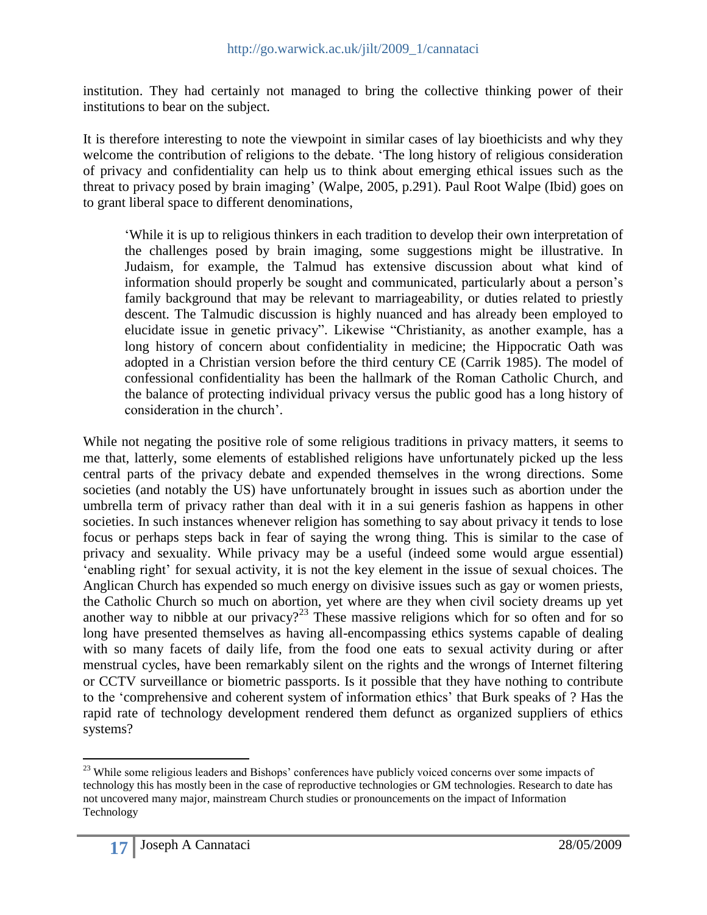institution. They had certainly not managed to bring the collective thinking power of their institutions to bear on the subject.

It is therefore interesting to note the viewpoint in similar cases of lay bioethicists and why they welcome the contribution of religions to the debate. The long history of religious consideration of privacy and confidentiality can help us to think about emerging ethical issues such as the threat to privacy posed by brain imaging' (Walpe, 2005, p.291). Paul Root Walpe (Ibid) goes on to grant liberal space to different denominations,

‗While it is up to religious thinkers in each tradition to develop their own interpretation of the challenges posed by brain imaging, some suggestions might be illustrative. In Judaism, for example, the Talmud has extensive discussion about what kind of information should properly be sought and communicated, particularly about a person's family background that may be relevant to marriageability, or duties related to priestly descent. The Talmudic discussion is highly nuanced and has already been employed to elucidate issue in genetic privacy". Likewise "Christianity, as another example, has a long history of concern about confidentiality in medicine; the Hippocratic Oath was adopted in a Christian version before the third century CE (Carrik 1985). The model of confessional confidentiality has been the hallmark of the Roman Catholic Church, and the balance of protecting individual privacy versus the public good has a long history of consideration in the church'.

While not negating the positive role of some religious traditions in privacy matters, it seems to me that, latterly, some elements of established religions have unfortunately picked up the less central parts of the privacy debate and expended themselves in the wrong directions. Some societies (and notably the US) have unfortunately brought in issues such as abortion under the umbrella term of privacy rather than deal with it in a sui generis fashion as happens in other societies. In such instances whenever religion has something to say about privacy it tends to lose focus or perhaps steps back in fear of saying the wrong thing. This is similar to the case of privacy and sexuality. While privacy may be a useful (indeed some would argue essential) ‗enabling right' for sexual activity, it is not the key element in the issue of sexual choices. The Anglican Church has expended so much energy on divisive issues such as gay or women priests, the Catholic Church so much on abortion, yet where are they when civil society dreams up yet another way to nibble at our privacy?<sup>23</sup> These massive religions which for so often and for so long have presented themselves as having all-encompassing ethics systems capable of dealing with so many facets of daily life, from the food one eats to sexual activity during or after menstrual cycles, have been remarkably silent on the rights and the wrongs of Internet filtering or CCTV surveillance or biometric passports. Is it possible that they have nothing to contribute to the ‗comprehensive and coherent system of information ethics' that Burk speaks of ? Has the rapid rate of technology development rendered them defunct as organized suppliers of ethics systems?

 $\overline{a}$ <sup>23</sup> While some religious leaders and Bishops' conferences have publicly voiced concerns over some impacts of technology this has mostly been in the case of reproductive technologies or GM technologies. Research to date has not uncovered many major, mainstream Church studies or pronouncements on the impact of Information Technology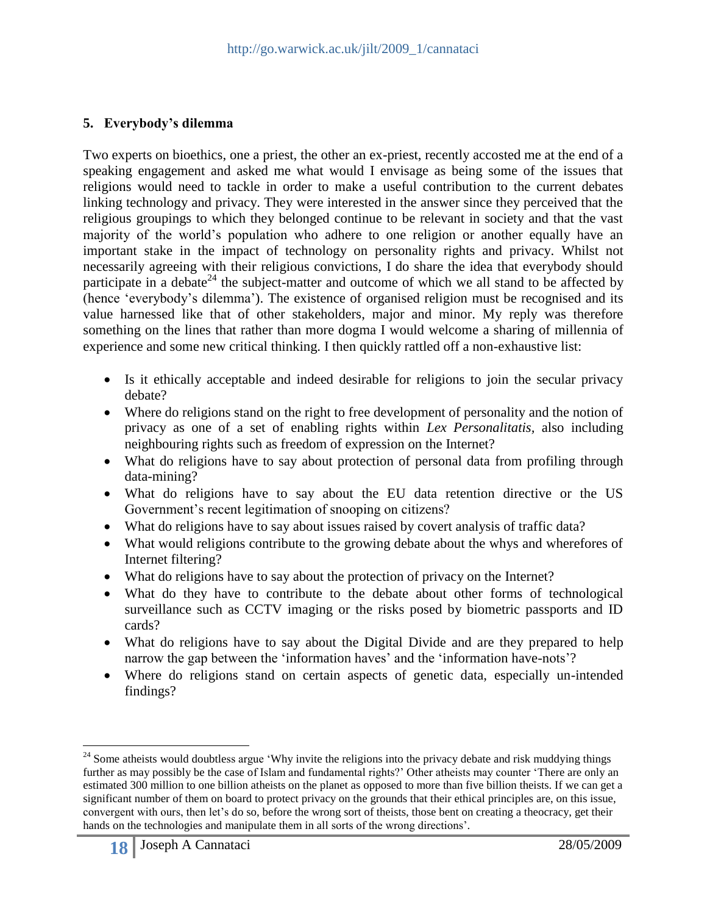# **5. Everybody's dilemma**

Two experts on bioethics, one a priest, the other an ex-priest, recently accosted me at the end of a speaking engagement and asked me what would I envisage as being some of the issues that religions would need to tackle in order to make a useful contribution to the current debates linking technology and privacy. They were interested in the answer since they perceived that the religious groupings to which they belonged continue to be relevant in society and that the vast majority of the world's population who adhere to one religion or another equally have an important stake in the impact of technology on personality rights and privacy. Whilst not necessarily agreeing with their religious convictions, I do share the idea that everybody should participate in a debate<sup>24</sup> the subject-matter and outcome of which we all stand to be affected by (hence 'everybody's dilemma'). The existence of organised religion must be recognised and its value harnessed like that of other stakeholders, major and minor. My reply was therefore something on the lines that rather than more dogma I would welcome a sharing of millennia of experience and some new critical thinking. I then quickly rattled off a non-exhaustive list:

- Is it ethically acceptable and indeed desirable for religions to join the secular privacy debate?
- Where do religions stand on the right to free development of personality and the notion of privacy as one of a set of enabling rights within *Lex Personalitatis,* also including neighbouring rights such as freedom of expression on the Internet?
- What do religions have to say about protection of personal data from profiling through data-mining?
- What do religions have to say about the EU data retention directive or the US Government's recent legitimation of snooping on citizens?
- What do religions have to say about issues raised by covert analysis of traffic data?
- What would religions contribute to the growing debate about the whys and wherefores of Internet filtering?
- What do religions have to say about the protection of privacy on the Internet?
- What do they have to contribute to the debate about other forms of technological surveillance such as CCTV imaging or the risks posed by biometric passports and ID cards?
- What do religions have to say about the Digital Divide and are they prepared to help narrow the gap between the 'information haves' and the 'information have-nots'?
- Where do religions stand on certain aspects of genetic data, especially un-intended findings?

 $\overline{a}$  $^{24}$  Some atheists would doubtless argue 'Why invite the religions into the privacy debate and risk muddying things further as may possibly be the case of Islam and fundamental rights?' Other atheists may counter 'There are only an estimated 300 million to one billion atheists on the planet as opposed to more than five billion theists. If we can get a significant number of them on board to protect privacy on the grounds that their ethical principles are, on this issue, convergent with ours, then let's do so, before the wrong sort of theists, those bent on creating a theocracy, get their hands on the technologies and manipulate them in all sorts of the wrong directions'.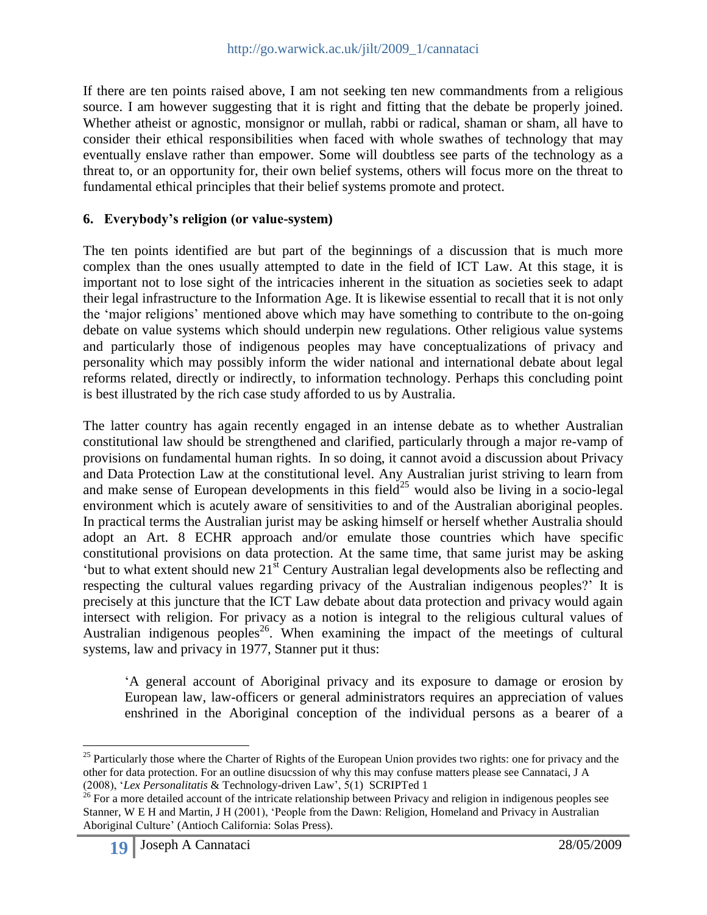If there are ten points raised above, I am not seeking ten new commandments from a religious source. I am however suggesting that it is right and fitting that the debate be properly joined. Whether atheist or agnostic, monsignor or mullah, rabbi or radical, shaman or sham, all have to consider their ethical responsibilities when faced with whole swathes of technology that may eventually enslave rather than empower. Some will doubtless see parts of the technology as a threat to, or an opportunity for, their own belief systems, others will focus more on the threat to fundamental ethical principles that their belief systems promote and protect.

#### **6. Everybody's religion (or value-system)**

The ten points identified are but part of the beginnings of a discussion that is much more complex than the ones usually attempted to date in the field of ICT Law. At this stage, it is important not to lose sight of the intricacies inherent in the situation as societies seek to adapt their legal infrastructure to the Information Age. It is likewise essential to recall that it is not only the ‗major religions' mentioned above which may have something to contribute to the on-going debate on value systems which should underpin new regulations. Other religious value systems and particularly those of indigenous peoples may have conceptualizations of privacy and personality which may possibly inform the wider national and international debate about legal reforms related, directly or indirectly, to information technology. Perhaps this concluding point is best illustrated by the rich case study afforded to us by Australia.

The latter country has again recently engaged in an intense debate as to whether Australian constitutional law should be strengthened and clarified, particularly through a major re-vamp of provisions on fundamental human rights. In so doing, it cannot avoid a discussion about Privacy and Data Protection Law at the constitutional level. Any Australian jurist striving to learn from and make sense of European developments in this field<sup>25</sup> would also be living in a socio-legal environment which is acutely aware of sensitivities to and of the Australian aboriginal peoples. In practical terms the Australian jurist may be asking himself or herself whether Australia should adopt an Art. 8 ECHR approach and/or emulate those countries which have specific constitutional provisions on data protection. At the same time, that same jurist may be asking ‗but to what extent should new 21st Century Australian legal developments also be reflecting and respecting the cultural values regarding privacy of the Australian indigenous peoples?' It is precisely at this juncture that the ICT Law debate about data protection and privacy would again intersect with religion. For privacy as a notion is integral to the religious cultural values of Australian indigenous peoples<sup>26</sup>. When examining the impact of the meetings of cultural systems, law and privacy in 1977, Stanner put it thus:

‗A general account of Aboriginal privacy and its exposure to damage or erosion by European law, law-officers or general administrators requires an appreciation of values enshrined in the Aboriginal conception of the individual persons as a bearer of a

<sup>&</sup>lt;sup>25</sup> Particularly those where the Charter of Rights of the European Union provides two rights: one for privacy and the other for data protection. For an outline disucssion of why this may confuse matters please see Cannataci, J A (2008), ‗*Lex Personalitatis* & Technology-driven Law', 5(1) SCRIPTed 1

 $^{26}$  For a more detailed account of the intricate relationship between Privacy and religion in indigenous peoples see Stanner, W E H and Martin, J H (2001), 'People from the Dawn: Religion, Homeland and Privacy in Australian Aboriginal Culture' (Antioch California: Solas Press).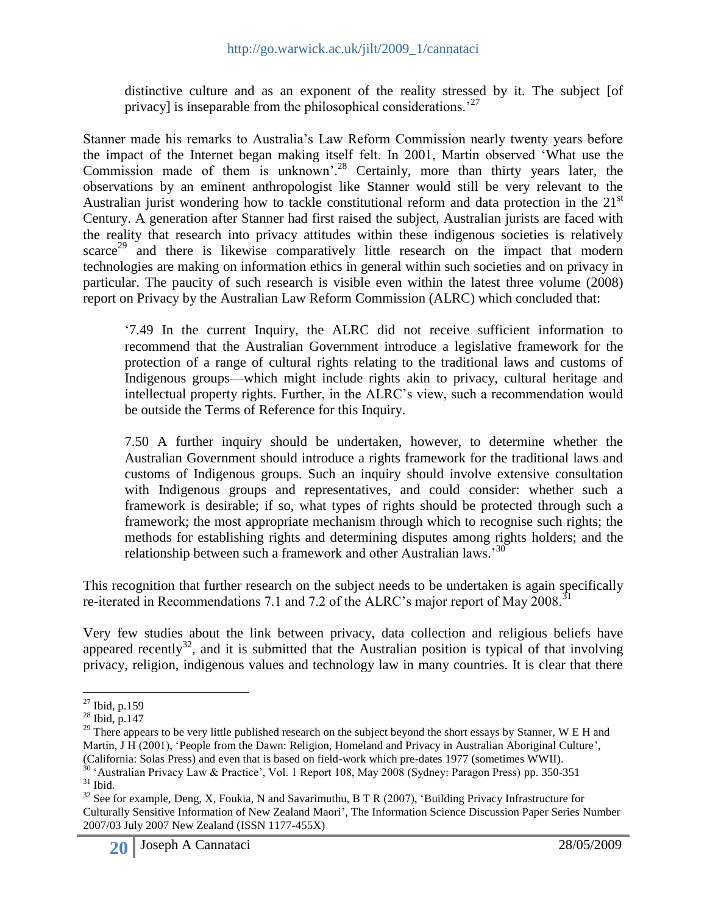distinctive culture and as an exponent of the reality stressed by it. The subject [of privacy] is inseparable from the philosophical considerations.<sup>27</sup>

Stanner made his remarks to Australia's Law Reform Commission nearly twenty years before the impact of the Internet began making itself felt. In 2001, Martin observed 'What use the Commission made of them is unknown'.<sup>28</sup> Certainly, more than thirty years later, the observations by an eminent anthropologist like Stanner would still be very relevant to the Australian jurist wondering how to tackle constitutional reform and data protection in the 21<sup>st</sup> Century. A generation after Stanner had first raised the subject, Australian jurists are faced with the reality that research into privacy attitudes within these indigenous societies is relatively scarce<sup>29</sup> and there is likewise comparatively little research on the impact that modern technologies are making on information ethics in general within such societies and on privacy in particular. The paucity of such research is visible even within the latest three volume (2008) report on Privacy by the Australian Law Reform Commission (ALRC) which concluded that:

‗7.49 In the current Inquiry, the ALRC did not receive sufficient information to recommend that the Australian Government introduce a legislative framework for the protection of a range of cultural rights relating to the traditional laws and customs of Indigenous groups—which might include rights akin to privacy, cultural heritage and intellectual property rights. Further, in the ALRC's view, such a recommendation would be outside the Terms of Reference for this Inquiry.

7.50 A further inquiry should be undertaken, however, to determine whether the Australian Government should introduce a rights framework for the traditional laws and customs of Indigenous groups. Such an inquiry should involve extensive consultation with Indigenous groups and representatives, and could consider: whether such a framework is desirable; if so, what types of rights should be protected through such a framework; the most appropriate mechanism through which to recognise such rights; the methods for establishing rights and determining disputes among rights holders; and the relationship between such a framework and other Australian laws.<sup>30</sup>

This recognition that further research on the subject needs to be undertaken is again specifically re-iterated in Recommendations 7.1 and 7.2 of the ALRC's major report of May 2008.<sup>31</sup>

Very few studies about the link between privacy, data collection and religious beliefs have appeared recently<sup>32</sup>, and it is submitted that the Australian position is typical of that involving privacy, religion, indigenous values and technology law in many countries. It is clear that there

 $\overline{a}$  $27$  Ibid, p.159

<sup>28</sup> Ibid, p.147

 $^{29}$  There appears to be very little published research on the subject beyond the short essays by Stanner, W E H and Martin, J H (2001), 'People from the Dawn: Religion, Homeland and Privacy in Australian Aboriginal Culture', (California: Solas Press) and even that is based on field-work which pre-dates 1977 (sometimes WWII).

 $30$  'Australian Privacy Law & Practice', Vol. 1 Report 108, May 2008 (Sydney: Paragon Press) pp. 350-351  $31$  Ibid.

 $32$  See for example, Deng, X, Foukia, N and Savarimuthu, B T R (2007), 'Building Privacy Infrastructure for Culturally Sensitive Information of New Zealand Maori', The Information Science Discussion Paper Series Number 2007/03 July 2007 New Zealand (ISSN 1177-455X)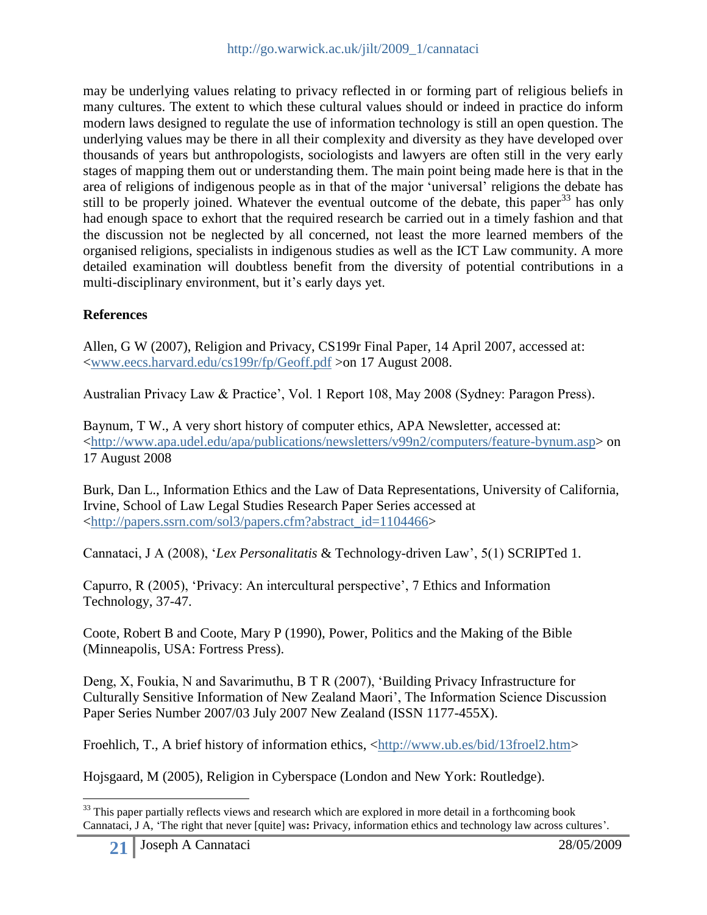may be underlying values relating to privacy reflected in or forming part of religious beliefs in many cultures. The extent to which these cultural values should or indeed in practice do inform modern laws designed to regulate the use of information technology is still an open question. The underlying values may be there in all their complexity and diversity as they have developed over thousands of years but anthropologists, sociologists and lawyers are often still in the very early stages of mapping them out or understanding them. The main point being made here is that in the area of religions of indigenous people as in that of the major 'universal' religions the debate has still to be properly joined. Whatever the eventual outcome of the debate, this paper<sup>33</sup> has only had enough space to exhort that the required research be carried out in a timely fashion and that the discussion not be neglected by all concerned, not least the more learned members of the organised religions, specialists in indigenous studies as well as the ICT Law community. A more detailed examination will doubtless benefit from the diversity of potential contributions in a multi-disciplinary environment, but it's early days yet.

## **References**

Allen, G W (2007), Religion and Privacy, CS199r Final Paper, 14 April 2007, accessed at: [<www.eecs.harvard.edu/cs199r/fp/Geoff.pdf](http://www.eecs.harvard.edu/cs199r/fp/Geoff.pdf) >on 17 August 2008.

Australian Privacy Law & Practice', Vol. 1 Report 108, May 2008 (Sydney: Paragon Press).

Baynum, T W., A very short history of computer ethics, APA Newsletter, accessed at: [<http://www.apa.udel.edu/apa/publications/newsletters/v99n2/computers/feature-bynum.asp>](http://www.apa.udel.edu/apa/publications/newsletters/v99n2/computers/feature-bynum.asp) on 17 August 2008

Burk, Dan L., Information Ethics and the Law of Data Representations, University of California, Irvine, School of Law Legal Studies Research Paper Series accessed at [<http://papers.ssrn.com/sol3/papers.cfm?abstract\\_id=1104466>](http://papers.ssrn.com/sol3/papers.cfm?abstract_id=1104466)

Cannataci, J A (2008), ‗*Lex Personalitatis* & Technology-driven Law', 5(1) SCRIPTed 1.

Capurro, R (2005), ‗Privacy: An intercultural perspective', 7 Ethics and Information Technology, 37-47.

Coote, Robert B and Coote, Mary P (1990), Power, Politics and the Making of the Bible (Minneapolis, USA: Fortress Press).

Deng, X, Foukia, N and Savarimuthu, B T R (2007), 'Building Privacy Infrastructure for Culturally Sensitive Information of New Zealand Maori', The Information Science Discussion Paper Series Number 2007/03 July 2007 New Zealand (ISSN 1177-455X).

Froehlich, T., A brief history of information ethics, [<http://www.ub.es/bid/13froel2.htm>](http://www.ub.es/bid/13froel2.htm)

[Hojsgaard,](http://www.amazon.com/exec/obidos/search-handle-url?%5Fencoding=UTF8&search-type=ss&index=books&field-author=M.%20Hojsgaard) M (2005), Religion in Cyberspace (London and New York: Routledge).

 $33$  This paper partially reflects views and research which are explored in more detail in a forthcoming book Cannataci, J A, ‗The right that never [quite] was**:** Privacy, information ethics and technology law across cultures'.